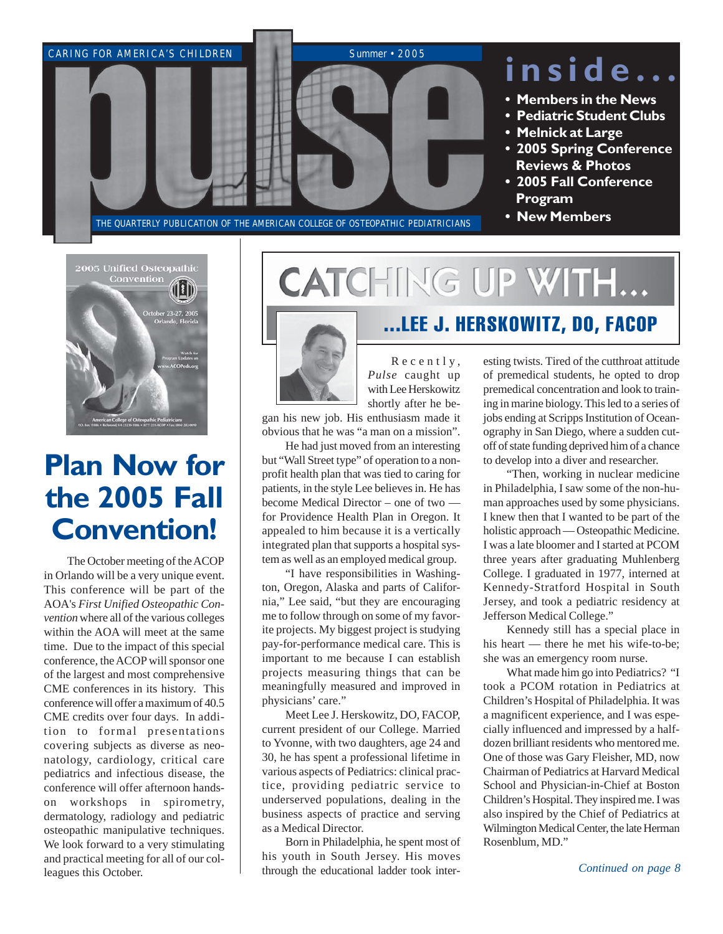



# **Plan Now for the 2005 Fall Convention!**

The October meeting of the ACOP in Orlando will be a very unique event. This conference will be part of the AOA's *First Unified Osteopathic Convention* where all of the various colleges within the AOA will meet at the same time. Due to the impact of this special conference, the ACOP will sponsor one of the largest and most comprehensive CME conferences in its history. This conference will offer a maximum of 40.5 CME credits over four days. In addition to formal presentations covering subjects as diverse as neonatology, cardiology, critical care pediatrics and infectious disease, the conference will offer afternoon handson workshops in spirometry, dermatology, radiology and pediatric osteopathic manipulative techniques. We look forward to a very stimulating and practical meeting for all of our colleagues this October.

# **CATCHING UP WITH...**



Recently, *Pulse* caught up with Lee Herskowitz shortly after he be-

gan his new job. His enthusiasm made it obvious that he was "a man on a mission".

He had just moved from an interesting but "Wall Street type" of operation to a nonprofit health plan that was tied to caring for patients, in the style Lee believes in. He has become Medical Director – one of two for Providence Health Plan in Oregon. It appealed to him because it is a vertically integrated plan that supports a hospital system as well as an employed medical group.

"I have responsibilities in Washington, Oregon, Alaska and parts of California," Lee said, "but they are encouraging me to follow through on some of my favorite projects. My biggest project is studying pay-for-performance medical care. This is important to me because I can establish projects measuring things that can be meaningfully measured and improved in physicians' care."

Meet Lee J. Herskowitz, DO, FACOP, current president of our College. Married to Yvonne, with two daughters, age 24 and 30, he has spent a professional lifetime in various aspects of Pediatrics: clinical practice, providing pediatric service to underserved populations, dealing in the business aspects of practice and serving as a Medical Director.

Born in Philadelphia, he spent most of his youth in South Jersey. His moves through the educational ladder took inter-

## ...LEE J. HERSKOWITZ, DO, FACOP

esting twists. Tired of the cutthroat attitude of premedical students, he opted to drop premedical concentration and look to training in marine biology. This led to a series of jobs ending at Scripps Institution of Oceanography in San Diego, where a sudden cutoff of state funding deprived him of a chance to develop into a diver and researcher.

"Then, working in nuclear medicine in Philadelphia, I saw some of the non-human approaches used by some physicians. I knew then that I wanted to be part of the holistic approach — Osteopathic Medicine. I was a late bloomer and I started at PCOM three years after graduating Muhlenberg College. I graduated in 1977, interned at Kennedy-Stratford Hospital in South Jersey, and took a pediatric residency at Jefferson Medical College."

Kennedy still has a special place in his heart — there he met his wife-to-be; she was an emergency room nurse.

What made him go into Pediatrics? "I took a PCOM rotation in Pediatrics at Children's Hospital of Philadelphia. It was a magnificent experience, and I was especially influenced and impressed by a halfdozen brilliant residents who mentored me. One of those was Gary Fleisher, MD, now Chairman of Pediatrics at Harvard Medical School and Physician-in-Chief at Boston Children's Hospital. They inspired me. I was also inspired by the Chief of Pediatrics at Wilmington Medical Center, the late Herman Rosenblum, MD."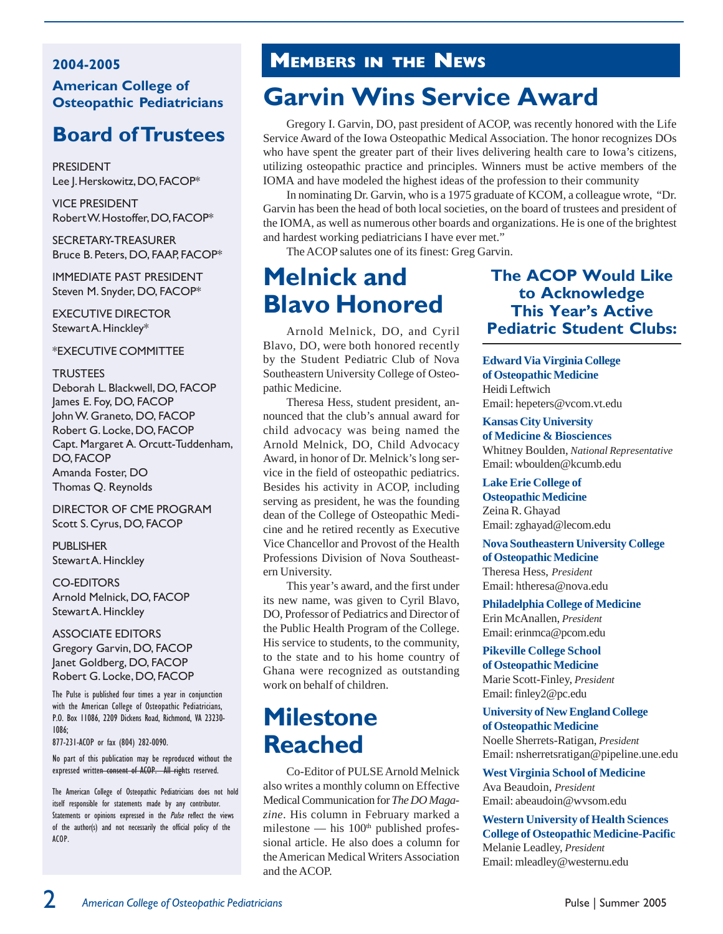#### **2004-2005 American College of Osteopathic Pediatricians**

## **Board of Trustees**

PRESIDENT Lee J. Herskowitz, DO, FACOP\*

VICE PRESIDENT Robert W. Hostoffer, DO, FACOP\*

SECRETARY-TREASURER Bruce B. Peters, DO, FAAP, FACOP\*

IMMEDIATE PAST PRESIDENT Steven M. Snyder, DO, FACOP\*

EXECUTIVE DIRECTOR Stewart A. Hinckley\*

#### \*EXECUTIVE COMMITTEE

#### **TRUSTEES**

Deborah L. Blackwell, DO, FACOP James E. Foy, DO, FACOP John W. Graneto, DO, FACOP Robert G. Locke, DO, FACOP Capt. Margaret A. Orcutt-Tuddenham, DO, FACOP Amanda Foster, DO Thomas Q. Reynolds

DIRECTOR OF CME PROGRAM Scott S. Cyrus, DO, FACOP

**PUBLISHER** Stewart A. Hinckley

#### CO-EDITORS

Arnold Melnick, DO, FACOP Stewart A. Hinckley

#### ASSOCIATE EDITORS Gregory Garvin, DO, FACOP Janet Goldberg, DO, FACOP Robert G. Locke, DO, FACOP

The Pulse is published four times a year in conjunction with the American College of Osteopathic Pediatricians, P.O. Box 11086, 2209 Dickens Road, Richmond, VA 23230- 1086;

877-231-ACOP or fax (804) 282-0090.

No part of this publication may be reproduced without the expressed written consent of ACOP. All rights reserved.

The American College of Osteopathic Pediatricians does not hold itself responsible for statements made by any contributor. Statements or opinions expressed in the *Pulse* reflect the views of the author(s) and not necessarily the official policy of the ACOP.

## **MEMBERS IN THE NEWS**

# **Garvin Wins Service Award**

Gregory I. Garvin, DO, past president of ACOP, was recently honored with the Life Service Award of the Iowa Osteopathic Medical Association. The honor recognizes DOs who have spent the greater part of their lives delivering health care to Iowa's citizens, utilizing osteopathic practice and principles. Winners must be active members of the IOMA and have modeled the highest ideas of the profession to their community

In nominating Dr. Garvin, who is a 1975 graduate of KCOM, a colleague wrote, "Dr. Garvin has been the head of both local societies, on the board of trustees and president of the IOMA, as well as numerous other boards and organizations. He is one of the brightest and hardest working pediatricians I have ever met."

The ACOP salutes one of its finest: Greg Garvin.

## **Melnick and Blavo Honored**

Arnold Melnick, DO, and Cyril Blavo, DO, were both honored recently by the Student Pediatric Club of Nova Southeastern University College of Osteopathic Medicine.

I THETESA TIESS, Student president, an-<br>nounced that the club's annual award for Theresa Hess, student president, anchild advocacy was being named the Arnold Melnick, DO, Child Advocacy Award, in honor of Dr. Melnick's long service in the field of osteopathic pediatrics. Besides his activity in ACOP, including serving as president, he was the founding dean of the College of Osteopathic Medicine and he retired recently as Executive Vice Chancellor and Provost of the Health Professions Division of Nova Southeastern University.

This year's award, and the first under its new name, was given to Cyril Blavo, DO, Professor of Pediatrics and Director of the Public Health Program of the College. His service to students, to the community, to the state and to his home country of Ghana were recognized as outstanding work on behalf of children.

## **Milestone Reached**

Co-Editor of PULSE Arnold Melnick also writes a monthly column on Effective Medical Communication for *The DO Magazine*. His column in February marked a milestone — his  $100<sup>th</sup>$  published professional article. He also does a column for the American Medical Writers Association and the ACOP.

#### **The ACOP Would Like to Acknowledge This Year's Active Pediatric Student Clubs:**

#### **Edward Via Virginia College of Osteopathic Medicine** Heidi Leftwich Email: hepeters@vcom.vt.edu

#### **Kansas City University**

**of Medicine & Biosciences** Whitney Boulden, *National Representative* Email: wboulden@kcumb.edu

#### **Lake Erie College of Osteopathic Medicine**

Zeina R. Ghayad Email: zghayad@lecom.edu

#### **Nova Southeastern University College of Osteopathic Medicine**

Theresa Hess, *President* Email: htheresa@nova.edu

**Philadelphia College of Medicine** Erin McAnallen, *President* Email: erinmca@pcom.edu

**Pikeville College School of Osteopathic Medicine** Marie Scott-Finley, *President* Email: finley2@pc.edu

#### **University of New England College of Osteopathic Medicine**

Noelle Sherrets-Ratigan, *President* Email: nsherretsratigan@pipeline.une.edu

#### **West Virginia School of Medicine** Ava Beaudoin, *President* Email: abeaudoin@wvsom.edu

**Western University of Health Sciences College of Osteopathic Medicine-Pacific** Melanie Leadley, *President* Email: mleadley@westernu.edu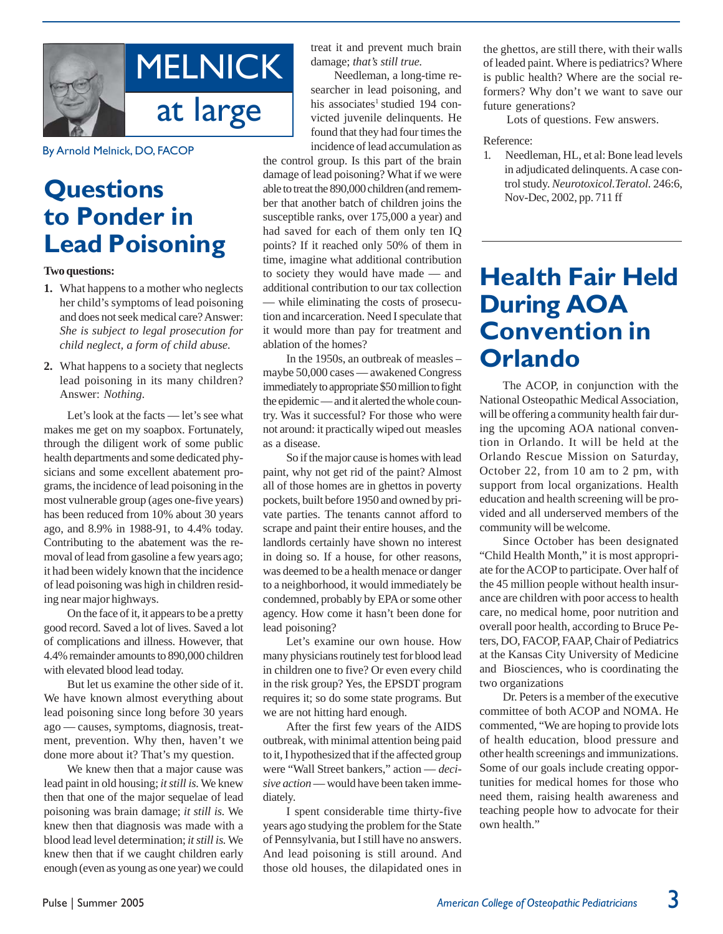

By Arnold Melnick, DO, FACOP

## **Questions to Ponder in Lead Poisoning**

**Two questions:**

- **1.** What happens to a mother who neglects her child's symptoms of lead poisoning and does not seek medical care? Answer: *She is subject to legal prosecution for child neglect, a form of child abuse.*
- **2.** What happens to a society that neglects lead poisoning in its many children? Answer: *Nothing*.

Let's look at the facts — let's see what makes me get on my soapbox. Fortunately, through the diligent work of some public health departments and some dedicated physicians and some excellent abatement programs, the incidence of lead poisoning in the most vulnerable group (ages one-five years) has been reduced from 10% about 30 years ago, and 8.9% in 1988-91, to 4.4% today. Contributing to the abatement was the removal of lead from gasoline a few years ago; it had been widely known that the incidence of lead poisoning was high in children residing near major highways.

On the face of it, it appears to be a pretty good record. Saved a lot of lives. Saved a lot of complications and illness. However, that 4.4% remainder amounts to 890,000 children with elevated blood lead today.

But let us examine the other side of it. We have known almost everything about lead poisoning since long before 30 years ago — causes, symptoms, diagnosis, treatment, prevention. Why then, haven't we done more about it? That's my question.

We knew then that a major cause was lead paint in old housing; *it still is.* We knew then that one of the major sequelae of lead poisoning was brain damage; *it still is.* We knew then that diagnosis was made with a blood lead level determination; *it still is.* We knew then that if we caught children early enough (even as young as one year) we could treat it and prevent much brain damage; *that's still true.*

Needleman, a long-time researcher in lead poisoning, and his associates<sup>1</sup> studied 194 convicted juvenile delinquents. He found that they had four times the incidence of lead accumulation as

the control group. Is this part of the brain damage of lead poisoning? What if we were able to treat the 890,000 children (and remember that another batch of children joins the susceptible ranks, over 175,000 a year) and had saved for each of them only ten IQ points? If it reached only 50% of them in time, imagine what additional contribution to society they would have made — and additional contribution to our tax collection — while eliminating the costs of prosecution and incarceration. Need I speculate that it would more than pay for treatment and ablation of the homes?

In the 1950s, an outbreak of measles – maybe 50,000 cases — awakened Congress immediately to appropriate \$50 million to fight the epidemic — and it alerted the whole country. Was it successful? For those who were not around: it practically wiped out measles as a disease.

So if the major cause is homes with lead paint, why not get rid of the paint? Almost all of those homes are in ghettos in poverty pockets, built before 1950 and owned by private parties. The tenants cannot afford to scrape and paint their entire houses, and the landlords certainly have shown no interest in doing so. If a house, for other reasons, was deemed to be a health menace or danger to a neighborhood, it would immediately be condemned, probably by EPA or some other agency. How come it hasn't been done for lead poisoning?

Let's examine our own house. How many physicians routinely test for blood lead in children one to five? Or even every child in the risk group? Yes, the EPSDT program requires it; so do some state programs. But we are not hitting hard enough.

After the first few years of the AIDS outbreak, with minimal attention being paid to it, I hypothesized that if the affected group were "Wall Street bankers," action — *decisive action* — would have been taken immediately.

I spent considerable time thirty-five years ago studying the problem for the State of Pennsylvania, but I still have no answers. And lead poisoning is still around. And those old houses, the dilapidated ones in

the ghettos, are still there, with their walls of leaded paint. Where is pediatrics? Where is public health? Where are the social reformers? Why don't we want to save our future generations?

Lots of questions. Few answers.

#### Reference:

1. Needleman, HL, et al: Bone lead levels in adjudicated delinquents. A case control study. *Neurotoxicol.Teratol.* 246:6, Nov-Dec, 2002, pp. 711 ff

## **Health Fair Held During AOA Convention in Orlando**

The ACOP, in conjunction with the National Osteopathic Medical Association, will be offering a community health fair during the upcoming AOA national convention in Orlando. It will be held at the Orlando Rescue Mission on Saturday, October 22, from 10 am to 2 pm, with support from local organizations. Health education and health screening will be provided and all underserved members of the community will be welcome.

Since October has been designated "Child Health Month," it is most appropriate for the ACOP to participate. Over half of the 45 million people without health insurance are children with poor access to health care, no medical home, poor nutrition and overall poor health, according to Bruce Peters, DO, FACOP, FAAP, Chair of Pediatrics at the Kansas City University of Medicine and Biosciences, who is coordinating the two organizations

Dr. Peters is a member of the executive committee of both ACOP and NOMA. He commented, "We are hoping to provide lots of health education, blood pressure and other health screenings and immunizations. Some of our goals include creating opportunities for medical homes for those who need them, raising health awareness and teaching people how to advocate for their own health."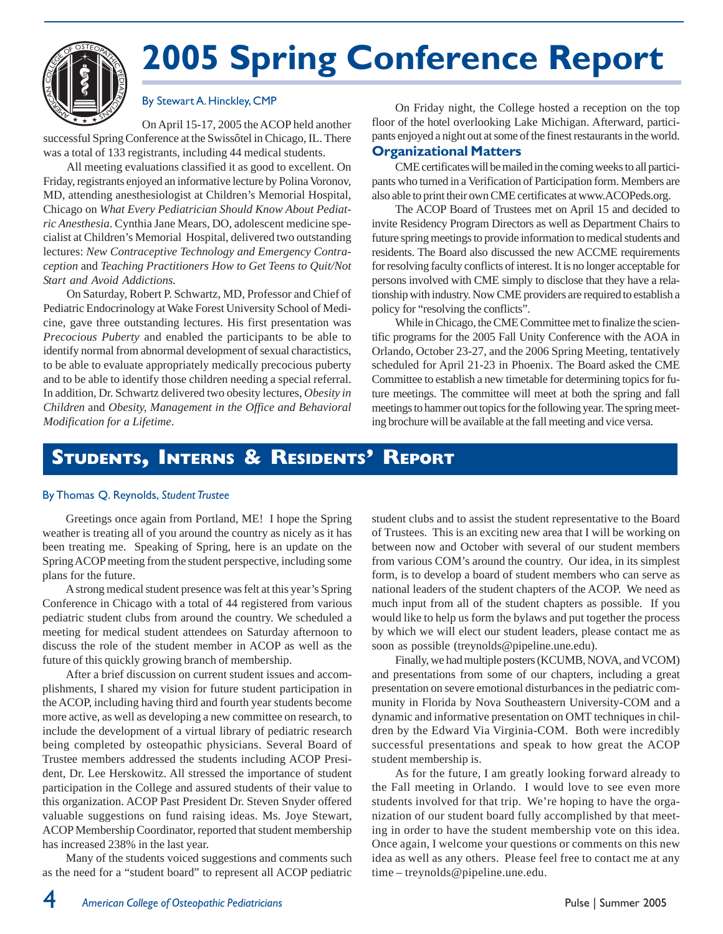

# **2005 Spring Conference Report**

#### By Stewart A. Hinckley, CMP

On April 15-17, 2005 the ACOP held another successful Spring Conference at the Swissôtel in Chicago, IL. There was a total of 133 registrants, including 44 medical students.

All meeting evaluations classified it as good to excellent. On Friday, registrants enjoyed an informative lecture by Polina Voronov, MD, attending anesthesiologist at Children's Memorial Hospital, Chicago on *What Every Pediatrician Should Know About Pediatric Anesthesia*. Cynthia Jane Mears, DO, adolescent medicine specialist at Children's Memorial Hospital, delivered two outstanding lectures: *New Contraceptive Technology and Emergency Contraception* and *Teaching Practitioners How to Get Teens to Quit/Not Start and Avoid Addictions.*

On Saturday, Robert P. Schwartz, MD, Professor and Chief of Pediatric Endocrinology at Wake Forest University School of Medicine, gave three outstanding lectures. His first presentation was *Precocious Puberty* and enabled the participants to be able to identify normal from abnormal development of sexual charactistics, to be able to evaluate appropriately medically precocious puberty and to be able to identify those children needing a special referral. In addition, Dr. Schwartz delivered two obesity lectures, *Obesity in Children* and *Obesity, Management in the Office and Behavioral Modification for a Lifetime*.

On Friday night, the College hosted a reception on the top floor of the hotel overlooking Lake Michigan. Afterward, participants enjoyed a night out at some of the finest restaurants in the world.

#### **Organizational Matters**

CME certificates will be mailed in the coming weeks to all participants who turned in a Verification of Participation form. Members are also able to print their own CME certificates at www.ACOPeds.org.

The ACOP Board of Trustees met on April 15 and decided to invite Residency Program Directors as well as Department Chairs to future spring meetings to provide information to medical students and residents. The Board also discussed the new ACCME requirements for resolving faculty conflicts of interest. It is no longer acceptable for persons involved with CME simply to disclose that they have a relationship with industry. Now CME providers are required to establish a policy for "resolving the conflicts".

While in Chicago, the CME Committee met to finalize the scientific programs for the 2005 Fall Unity Conference with the AOA in Orlando, October 23-27, and the 2006 Spring Meeting, tentatively scheduled for April 21-23 in Phoenix. The Board asked the CME Committee to establish a new timetable for determining topics for future meetings. The committee will meet at both the spring and fall meetings to hammer out topics for the following year. The spring meeting brochure will be available at the fall meeting and vice versa.

### **STUDENTS, INTERNS & RESIDENTS' REPORT**

#### By Thomas Q. Reynolds, *Student Trustee*

Greetings once again from Portland, ME! I hope the Spring weather is treating all of you around the country as nicely as it has been treating me. Speaking of Spring, here is an update on the Spring ACOP meeting from the student perspective, including some plans for the future.

A strong medical student presence was felt at this year's Spring Conference in Chicago with a total of 44 registered from various pediatric student clubs from around the country. We scheduled a meeting for medical student attendees on Saturday afternoon to discuss the role of the student member in ACOP as well as the future of this quickly growing branch of membership.

After a brief discussion on current student issues and accomplishments, I shared my vision for future student participation in the ACOP, including having third and fourth year students become more active, as well as developing a new committee on research, to include the development of a virtual library of pediatric research being completed by osteopathic physicians. Several Board of Trustee members addressed the students including ACOP President, Dr. Lee Herskowitz. All stressed the importance of student participation in the College and assured students of their value to this organization. ACOP Past President Dr. Steven Snyder offered valuable suggestions on fund raising ideas. Ms. Joye Stewart, ACOP Membership Coordinator, reported that student membership has increased 238% in the last year.

Many of the students voiced suggestions and comments such as the need for a "student board" to represent all ACOP pediatric

student clubs and to assist the student representative to the Board of Trustees. This is an exciting new area that I will be working on between now and October with several of our student members from various COM's around the country. Our idea, in its simplest form, is to develop a board of student members who can serve as national leaders of the student chapters of the ACOP. We need as much input from all of the student chapters as possible. If you would like to help us form the bylaws and put together the process by which we will elect our student leaders, please contact me as soon as possible (treynolds@pipeline.une.edu).

Finally, we had multiple posters (KCUMB, NOVA, and VCOM) and presentations from some of our chapters, including a great presentation on severe emotional disturbances in the pediatric community in Florida by Nova Southeastern University-COM and a dynamic and informative presentation on OMT techniques in children by the Edward Via Virginia-COM. Both were incredibly successful presentations and speak to how great the ACOP student membership is.

As for the future, I am greatly looking forward already to the Fall meeting in Orlando. I would love to see even more students involved for that trip. We're hoping to have the organization of our student board fully accomplished by that meeting in order to have the student membership vote on this idea. Once again, I welcome your questions or comments on this new idea as well as any others. Please feel free to contact me at any time – treynolds@pipeline.une.edu.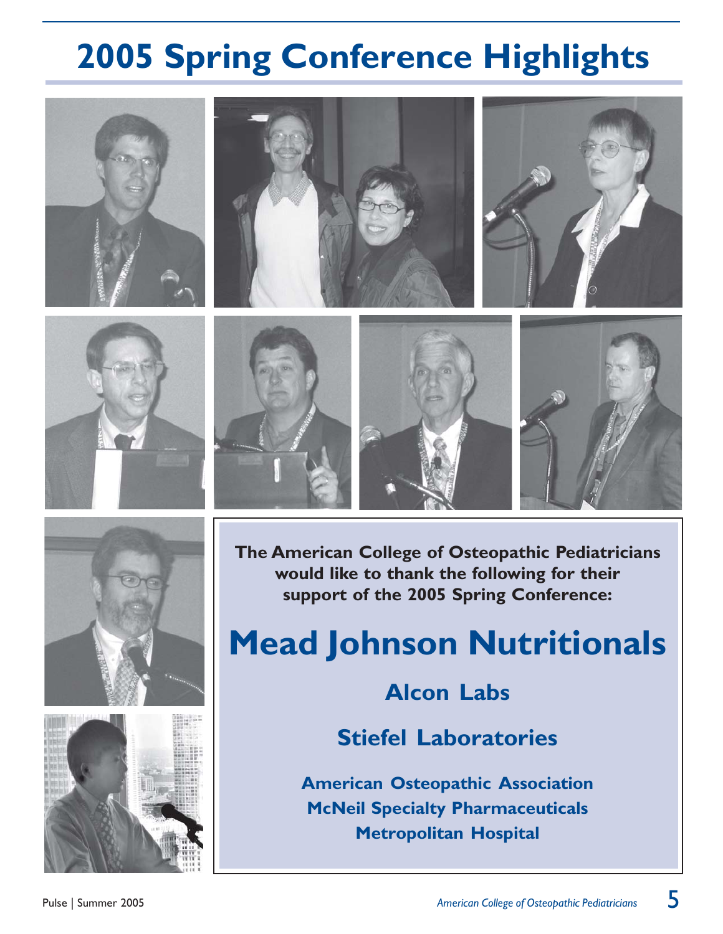# **2005 Spring Conference Highlights**

















**The American College of Osteopathic Pediatricians would like to thank the following for their support of the 2005 Spring Conference:**

# **Mead Johnson Nutritionals**

## **Alcon Labs**

**Stiefel Laboratories**

**American Osteopathic Association McNeil Specialty Pharmaceuticals Metropolitan Hospital**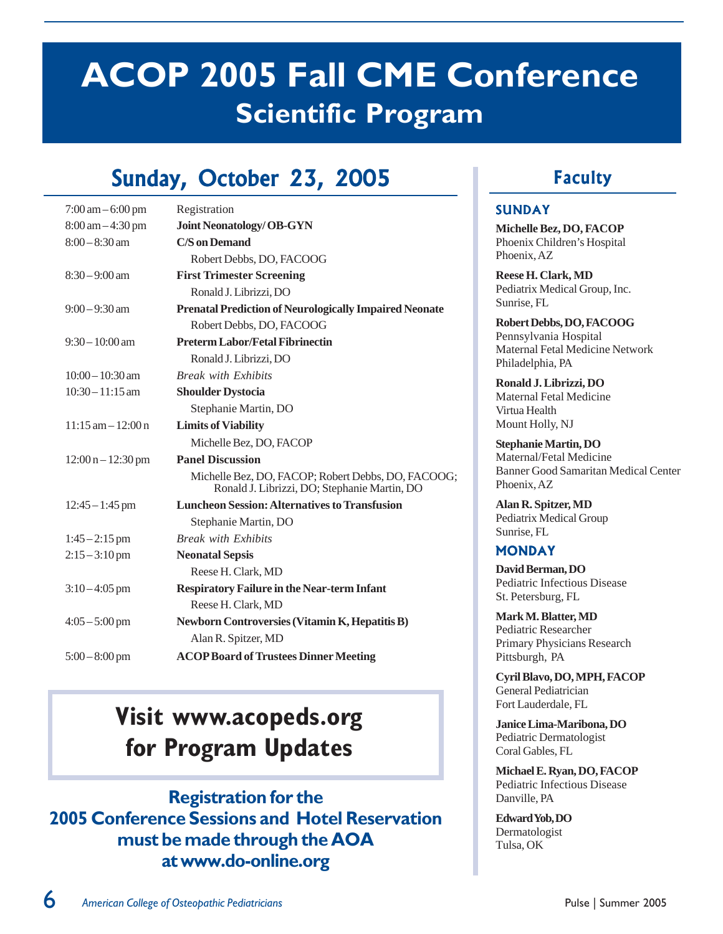# **ACOP 2005 Fall CME Conference Scientific Program**

# Sunday, October 23, 2005

| $7:00 \text{ am} - 6:00 \text{ pm}$ | Registration                                                                                       |
|-------------------------------------|----------------------------------------------------------------------------------------------------|
| $8:00 \text{ am} - 4:30 \text{ pm}$ | <b>Joint Neonatology/OB-GYN</b>                                                                    |
| $8:00 - 8:30$ am                    | C/S on Demand                                                                                      |
|                                     | Robert Debbs, DO, FACOOG                                                                           |
| $8:30 - 9:00$ am                    | <b>First Trimester Screening</b>                                                                   |
|                                     | Ronald J. Librizzi, DO                                                                             |
| $9:00 - 9:30$ am                    | <b>Prenatal Prediction of Neurologically Impaired Neonate</b>                                      |
|                                     | Robert Debbs, DO, FACOOG                                                                           |
| $9:30 - 10:00$ am                   | <b>Preterm Labor/Fetal Fibrinectin</b>                                                             |
|                                     | Ronald J. Librizzi, DO                                                                             |
| $10:00 - 10:30$ am                  | <b>Break with Exhibits</b>                                                                         |
| $10:30 - 11:15$ am                  | <b>Shoulder Dystocia</b>                                                                           |
|                                     | Stephanie Martin, DO                                                                               |
| $11:15$ am $-12:00$ n               | <b>Limits of Viability</b>                                                                         |
|                                     | Michelle Bez, DO, FACOP                                                                            |
| $12:00 n - 12:30 pm$                | <b>Panel Discussion</b>                                                                            |
|                                     | Michelle Bez, DO, FACOP; Robert Debbs, DO, FACOOG;<br>Ronald J. Librizzi, DO; Stephanie Martin, DO |
| $12:45 - 1:45$ pm                   | <b>Luncheon Session: Alternatives to Transfusion</b>                                               |
|                                     | Stephanie Martin, DO                                                                               |
| $1:45 - 2:15$ pm                    | <b>Break with Exhibits</b>                                                                         |
| $2:15 - 3:10$ pm                    | <b>Neonatal Sepsis</b>                                                                             |
|                                     | Reese H. Clark, MD                                                                                 |
| $3:10-4:05$ pm                      | <b>Respiratory Failure in the Near-term Infant</b>                                                 |
|                                     | Reese H. Clark, MD                                                                                 |
| $4:05 - 5:00$ pm                    | <b>Newborn Controversies (Vitamin K, Hepatitis B)</b>                                              |
|                                     | Alan R. Spitzer, MD                                                                                |
| $5:00-8:00$ pm                      | <b>ACOP Board of Trustees Dinner Meeting</b>                                                       |

## **Visit www.acopeds.org for Program Updates**

**Registration for the 2005 Conference Sessions and Hotel Reservation must be made through the AOA at www.do-online.org**

### Faculty

#### **SUNDAY**

**Michelle Bez, DO, FACOP** Phoenix Children's Hospital Phoenix, AZ

**Reese H. Clark, MD** Pediatrix Medical Group, Inc. Sunrise, FL

**Robert Debbs, DO, FACOOG** Pennsylvania Hospital Maternal Fetal Medicine Network Philadelphia, PA

**Ronald J. Librizzi, DO** Maternal Fetal Medicine Virtua Health Mount Holly, NJ

**Stephanie Martin, DO** Maternal/Fetal Medicine Banner Good Samaritan Medical Center Phoenix, AZ

**Alan R. Spitzer, MD** Pediatrix Medical Group Sunrise, FL

#### **MONDAY**

**David Berman, DO** Pediatric Infectious Disease St. Petersburg, FL

**Mark M. Blatter, MD** Pediatric Researcher Primary Physicians Research Pittsburgh, PA

**Cyril Blavo, DO, MPH, FACOP** General Pediatrician Fort Lauderdale, FL

**Janice Lima-Maribona, DO** Pediatric Dermatologist Coral Gables, FL

**Michael E. Ryan, DO, FACOP** Pediatric Infectious Disease Danville, PA

**Edward Yob, DO**  Dermatologist Tulsa, OK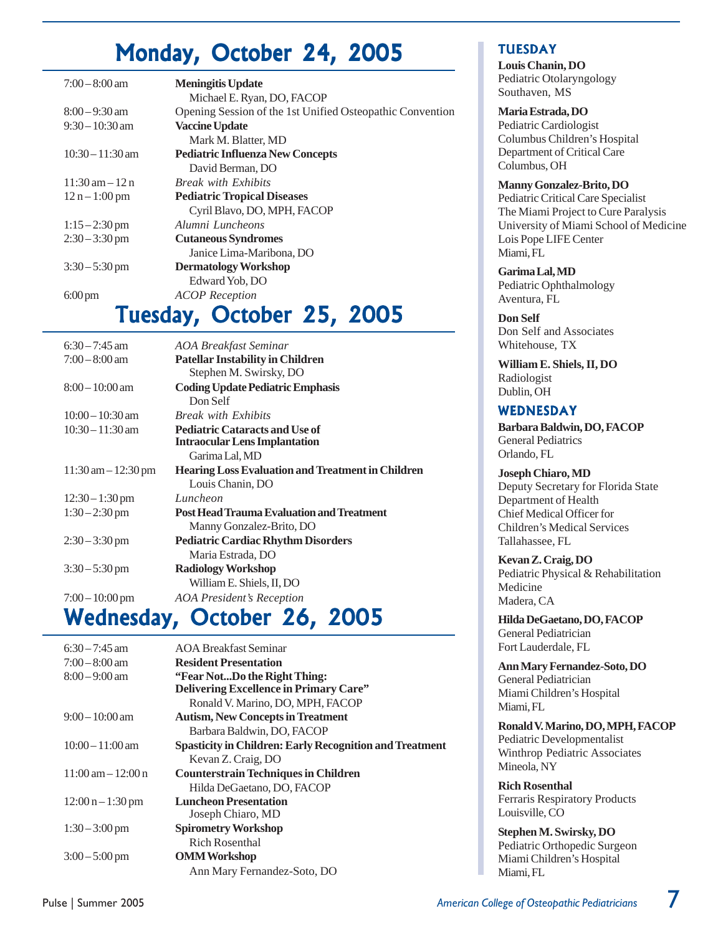## Monday, October 24, 2005

| $7:00-8:00$ am                    | <b>Meningitis Update</b>                                  |
|-----------------------------------|-----------------------------------------------------------|
|                                   | Michael E. Ryan, DO, FACOP                                |
| $8:00-9:30$ am                    | Opening Session of the 1st Unified Osteopathic Convention |
| $9:30-10:30$ am                   | <b>Vaccine Update</b>                                     |
|                                   | Mark M. Blatter, MD                                       |
| $10:30 - 11:30$ am                | <b>Pediatric Influenza New Concepts</b>                   |
|                                   | David Berman, DO                                          |
| $11:30 \text{ am} - 12 \text{ n}$ | <b>Break with Exhibits</b>                                |
| $12 n - 1:00 pm$                  | <b>Pediatric Tropical Diseases</b>                        |
|                                   | Cyril Blavo, DO, MPH, FACOP                               |
| $1:15 - 2:30$ pm                  | Alumni Luncheons                                          |
| $2:30-3:30$ pm                    | <b>Cutaneous Syndromes</b>                                |
|                                   | Janice Lima-Maribona, DO                                  |
| $3:30 - 5:30$ pm                  | <b>Dermatology Workshop</b>                               |
|                                   | Edward Yob, DO                                            |
| $6:00 \text{ pm}$                 | <b>ACOP</b> Reception                                     |

## Tuesday, October 25, 2005

| $6:30 - 7:45$ am                      | <b>AOA Breakfast Seminar</b>                             |
|---------------------------------------|----------------------------------------------------------|
| $7:00-8:00$ am                        | <b>Patellar Instability in Children</b>                  |
|                                       | Stephen M. Swirsky, DO                                   |
| $8:00-10:00$ am                       | <b>Coding Update Pediatric Emphasis</b>                  |
|                                       | Don Self                                                 |
| $10:00-10:30$ am                      | <b>Break with Exhibits</b>                               |
| $10:30 - 11:30$ am                    | <b>Pediatric Cataracts and Use of</b>                    |
|                                       | <b>Intraocular Lens Implantation</b>                     |
|                                       | Garima Lal, MD                                           |
| $11:30 \text{ am} - 12:30 \text{ pm}$ | <b>Hearing Loss Evaluation and Treatment in Children</b> |
|                                       | Louis Chanin, DO                                         |
| $12:30 - 1:30$ pm                     | Luncheon                                                 |
| $1:30 - 2:30$ pm                      | <b>Post Head Trauma Evaluation and Treatment</b>         |
|                                       | Manny Gonzalez-Brito, DO                                 |
| $2:30-3:30$ pm                        | <b>Pediatric Cardiac Rhythm Disorders</b>                |
|                                       | Maria Estrada, DO                                        |
| $3:30-5:30$ pm                        | <b>Radiology Workshop</b>                                |
|                                       | William E. Shiels, II, DO                                |
| $7:00-10:00$ pm                       | <b>AOA</b> President's Reception                         |
|                                       |                                                          |

## Wednesday, October 26, 2005

| $6:30 - 7:45$ am                     | <b>AOA Breakfast Seminar</b>                                   |
|--------------------------------------|----------------------------------------------------------------|
| $7:00-8:00$ am                       | <b>Resident Presentation</b>                                   |
| $8:00 - 9:00$ am                     | "Fear NotDo the Right Thing:                                   |
|                                      | <b>Delivering Excellence in Primary Care"</b>                  |
|                                      | Ronald V. Marino, DO, MPH, FACOP                               |
| $9:00-10:00$ am                      | <b>Autism, New Concepts in Treatment</b>                       |
|                                      | Barbara Baldwin, DO, FACOP                                     |
| $10:00-11:00$ am                     | <b>Spasticity in Children: Early Recognition and Treatment</b> |
|                                      | Kevan Z. Craig, DO                                             |
| $11:00 \text{ am} - 12:00 \text{ n}$ | <b>Counterstrain Techniques in Children</b>                    |
|                                      | Hilda DeGaetano, DO, FACOP                                     |
| $12:00 n - 1:30 pm$                  | <b>Luncheon Presentation</b>                                   |
|                                      | Joseph Chiaro, MD                                              |
| $1:30-3:00 \text{ pm}$               | <b>Spirometry Workshop</b>                                     |
|                                      | Rich Rosenthal                                                 |
| $3:00-5:00$ pm                       | <b>OMM</b> Workshop                                            |
|                                      | Ann Mary Fernandez-Soto, DO                                    |

#### TUESDAY

**Louis Chanin, DO** Pediatric Otolaryngology Southaven, MS

#### **Maria Estrada, DO**

Pediatric Cardiologist Columbus Children's Hospital Department of Critical Care Columbus, OH

#### **Manny Gonzalez-Brito, DO**

Pediatric Critical Care Specialist The Miami Project to Cure Paralysis University of Miami School of Medicine Lois Pope LIFE Center Miami, FL

**Garima Lal, MD** Pediatric Ophthalmology Aventura, FL

**Don Self** Don Self and Associates Whitehouse, TX

**William E. Shiels, II, DO** Radiologist Dublin, OH

#### WEDNESDAY

**Barbara Baldwin, DO, FACOP** General Pediatrics Orlando, FL

**Joseph Chiaro, MD** Deputy Secretary for Florida State Department of Health Chief Medical Officer for Children's Medical Services Tallahassee, FL

**Kevan Z. Craig, DO** Pediatric Physical & Rehabilitation Medicine Madera, CA

**Hilda DeGaetano, DO, FACOP** General Pediatrician Fort Lauderdale, FL

**Ann Mary Fernandez-Soto, DO** General Pediatrician Miami Children's Hospital Miami, FL

**Ronald V. Marino, DO, MPH, FACOP** Pediatric Developmentalist Winthrop Pediatric Associates Mineola, NY

**Rich Rosenthal** Ferraris Respiratory Products Louisville, CO

**Stephen M. Swirsky, DO** Pediatric Orthopedic Surgeon Miami Children's Hospital Miami, FL